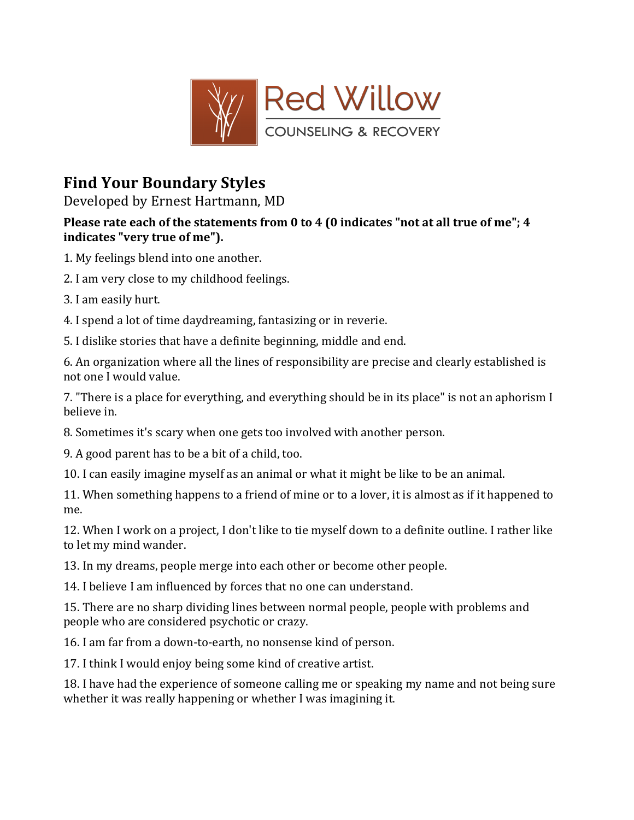

## **Find%Your Boundary%Styles**

Developed by Ernest Hartmann, MD

## Please rate each of the statements from 0 to 4 (0 indicates "not at all true of me"; 4 indicates "very true of me").

- 1. My feelings blend into one another.
- 2. I am very close to my childhood feelings.
- 3. I am easily hurt.
- 4. I spend a lot of time daydreaming, fantasizing or in reverie.
- 5. I dislike stories that have a definite beginning, middle and end.

6. An organization where all the lines of responsibility are precise and clearly established is not one I would value.

7. "There is a place for everything, and everything should be in its place" is not an aphorism I believe in.

- 8. Sometimes it's scary when one gets too involved with another person.
- 9. A good parent has to be a bit of a child, too.
- 10. I can easily imagine myself as an animal or what it might be like to be an animal.
- 11. When something happens to a friend of mine or to a lover, it is almost as if it happened to me.
- 12. When I work on a project, I don't like to tie myself down to a definite outline. I rather like to let my mind wander.
- 13. In my dreams, people merge into each other or become other people.
- 14. I believe I am influenced by forces that no one can understand.
- 15. There are no sharp dividing lines between normal people, people with problems and people who are considered psychotic or crazy.
- 16. I am far from a down-to-earth, no nonsense kind of person.
- 17. I think I would enjoy being some kind of creative artist.
- 18. I have had the experience of someone calling me or speaking my name and not being sure whether it was really happening or whether I was imagining it.